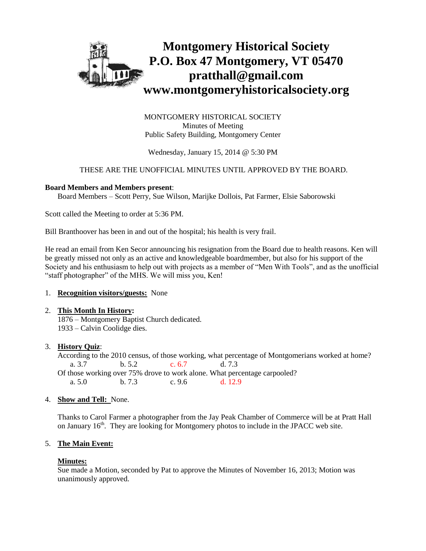

MONTGOMERY HISTORICAL SOCIETY Minutes of Meeting Public Safety Building, Montgomery Center

Wednesday, January 15, 2014 @ 5:30 PM

# THESE ARE THE UNOFFICIAL MINUTES UNTIL APPROVED BY THE BOARD.

#### **Board Members and Members present**:

Board Members – Scott Perry, Sue Wilson, Marijke Dollois, Pat Farmer, Elsie Saborowski

Scott called the Meeting to order at 5:36 PM.

Bill Branthoover has been in and out of the hospital; his health is very frail.

He read an email from Ken Secor announcing his resignation from the Board due to health reasons. Ken will be greatly missed not only as an active and knowledgeable boardmember, but also for his support of the Society and his enthusiasm to help out with projects as a member of "Men With Tools", and as the unofficial "staff photographer" of the MHS. We will miss you, Ken!

#### 1. **Recognition visitors/guests:** None

# 2. **This Month In History:**

1876 – Montgomery Baptist Church dedicated. 1933 – Calvin Coolidge dies.

# 3. **History Quiz**:

According to the 2010 census, of those working, what percentage of Montgomerians worked at home? a. 3.7 b. 5.2 c. 6.7 d. 7.3 Of those working over 75% drove to work alone. What percentage carpooled? a. 5.0 b. 7.3 c. 9.6 d. 12.9

#### 4. **Show and Tell:** None.

Thanks to Carol Farmer a photographer from the Jay Peak Chamber of Commerce will be at Pratt Hall on January 16<sup>th</sup>. They are looking for Montgomery photos to include in the JPACC web site.

# 5. **The Main Event:**

# **Minutes:**

Sue made a Motion, seconded by Pat to approve the Minutes of November 16, 2013; Motion was unanimously approved.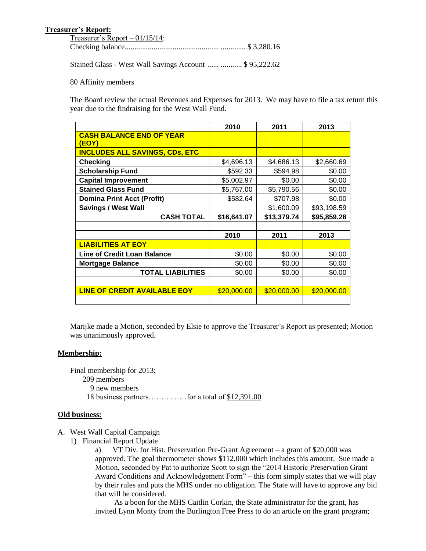# **Treasurer's Report:**

| Treasurer's Report $-01/15/14$ : |  |
|----------------------------------|--|
|                                  |  |

Stained Glass - West Wall Savings Account ...... ........... \$ 95,222.62

80 Affinity members

The Board review the actual Revenues and Expenses for 2013. We may have to file a tax return this year due to the findraising for the West Wall Fund.

|                                                 | 2010        | 2011        | 2013        |
|-------------------------------------------------|-------------|-------------|-------------|
| <b>CASH BALANCE END OF YEAR</b><br><b>(EOY)</b> |             |             |             |
| <b>INCLUDES ALL SAVINGS, CDs, ETC</b>           |             |             |             |
| <b>Checking</b>                                 | \$4,696.13  | \$4,686.13  | \$2,660.69  |
| <b>Scholarship Fund</b>                         | \$592.33    | \$594.98    | \$0.00      |
| <b>Capital Improvement</b>                      | \$5,002.97  | \$0.00      | \$0.00      |
| <b>Stained Glass Fund</b>                       | \$5,767.00  | \$5,790.56  | \$0.00      |
| <b>Domina Print Acct (Profit)</b>               | \$582.64    | \$707.98    | \$0.00      |
| <b>Savings / West Wall</b>                      |             | \$1,600.09  | \$93,198.59 |
|                                                 |             |             |             |
| <b>CASH TOTAL</b>                               | \$16,641.07 | \$13,379.74 | \$95,859.28 |
|                                                 |             |             |             |
|                                                 | 2010        | 2011        | 2013        |
| <b>LIABILITIES AT EOY</b>                       |             |             |             |
| <b>Line of Credit Loan Balance</b>              | \$0.00      | \$0.00      | \$0.00      |
| <b>Mortgage Balance</b>                         | \$0.00      | \$0.00      | \$0.00      |
| <b>TOTAL LIABILITIES</b>                        | \$0.00      | \$0.00      | \$0.00      |
|                                                 |             |             |             |
| <b>LINE OF CREDIT AVAILABLE EOY</b>             | \$20,000.00 | \$20,000.00 | \$20,000.00 |

Marijke made a Motion, seconded by Elsie to approve the Treasurer's Report as presented; Motion was unanimously approved.

#### **Membership:**

Final membership for 2013: 209 members 9 new members 18 business partners……………for a total of \$12,391.00

#### **Old business:**

A. West Wall Capital Campaign

1) Financial Report Update

a) VT Div. for Hist. Preservation Pre-Grant Agreement – a grant of \$20,000 was approved. The goal thermometer shows \$112,000 which includes this amount. Sue made a Motion, seconded by Pat to authorize Scott to sign the "2014 Historic Preservation Grant Award Conditions and Acknowledgement Form" – this form simply states that we will play by their rules and puts the MHS under no obligation. The State will have to approve any bid that will be considered.

 As a boon for the MHS Caitlin Corkin, the State administrator for the grant, has invited Lynn Monty from the Burlington Free Press to do an article on the grant program;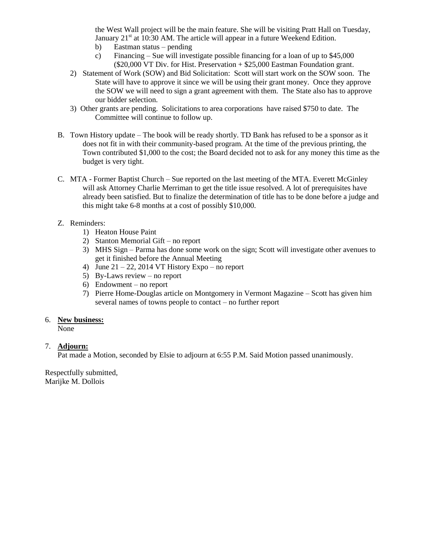the West Wall project will be the main feature. She will be visiting Pratt Hall on Tuesday, January  $21<sup>st</sup>$  at 10:30 AM. The article will appear in a future Weekend Edition.

- b) Eastman status pending
- c) Financing Sue will investigate possible financing for a loan of up to \$45,000  $(\$20,000 \,\mathrm{VT}$  Div. for Hist. Preservation +  $\$25,000$  Eastman Foundation grant.
- 2) Statement of Work (SOW) and Bid Solicitation: Scott will start work on the SOW soon. The State will have to approve it since we will be using their grant money. Once they approve the SOW we will need to sign a grant agreement with them. The State also has to approve our bidder selection.
- 3) Other grants are pending. Solicitations to area corporations have raised \$750 to date. The Committee will continue to follow up.
- B. Town History update The book will be ready shortly. TD Bank has refused to be a sponsor as it does not fit in with their community-based program. At the time of the previous printing, the Town contributed \$1,000 to the cost; the Board decided not to ask for any money this time as the budget is very tight.
- C. MTA Former Baptist Church Sue reported on the last meeting of the MTA. Everett McGinley will ask Attorney Charlie Merriman to get the title issue resolved. A lot of prerequisites have already been satisfied. But to finalize the determination of title has to be done before a judge and this might take 6-8 months at a cost of possibly \$10,000.

# Z. Reminders:

- 1) Heaton House Paint
- 2) Stanton Memorial Gift no report
- 3) MHS Sign Parma has done some work on the sign; Scott will investigate other avenues to get it finished before the Annual Meeting
- 4) June  $21 22$ , 2014 VT History Expo no report
- 5) By-Laws review no report
- 6) Endowment no report
- 7) Pierre Home-Douglas article on Montgomery in Vermont Magazine Scott has given him several names of towns people to contact – no further report

#### 6. **New business:**

None

# 7. **Adjourn:**

Pat made a Motion, seconded by Elsie to adjourn at 6:55 P.M. Said Motion passed unanimously.

Respectfully submitted, Marijke M. Dollois